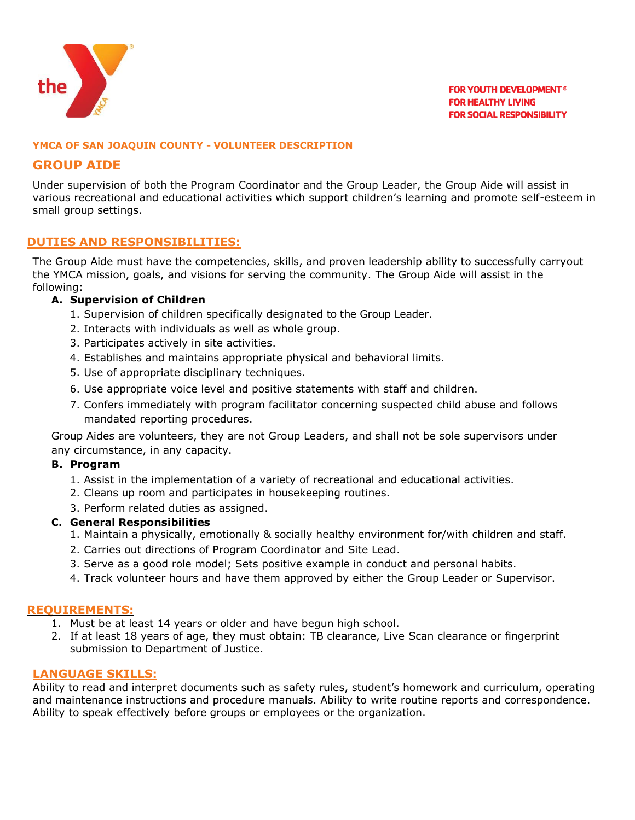

### **YMCA OF SAN JOAQUIN COUNTY - VOLUNTEER DESCRIPTION**

# **GROUP AIDE**

Under supervision of both the Program Coordinator and the Group Leader, the Group Aide will assist in various recreational and educational activities which support children's learning and promote self-esteem in small group settings.

## **DUTIES AND RESPONSIBILITIES:**

The Group Aide must have the competencies, skills, and proven leadership ability to successfully carryout the YMCA mission, goals, and visions for serving the community. The Group Aide will assist in the following:

## **A. Supervision of Children**

- 1. Supervision of children specifically designated to the Group Leader.
- 2. Interacts with individuals as well as whole group.
- 3. Participates actively in site activities.
- 4. Establishes and maintains appropriate physical and behavioral limits.
- 5. Use of appropriate disciplinary techniques.
- 6. Use appropriate voice level and positive statements with staff and children.
- 7. Confers immediately with program facilitator concerning suspected child abuse and follows mandated reporting procedures.

Group Aides are volunteers, they are not Group Leaders, and shall not be sole supervisors under any circumstance, in any capacity.

### **B. Program**

- 1. Assist in the implementation of a variety of recreational and educational activities.
- 2. Cleans up room and participates in housekeeping routines.
- 3. Perform related duties as assigned.

### **C. General Responsibilities**

- 1. Maintain a physically, emotionally & socially healthy environment for/with children and staff.
- 2. Carries out directions of Program Coordinator and Site Lead.
- 3. Serve as a good role model; Sets positive example in conduct and personal habits.
- 4. Track volunteer hours and have them approved by either the Group Leader or Supervisor.

# **REQUIREMENTS:**

- 1. Must be at least 14 years or older and have begun high school.
- 2. If at least 18 years of age, they must obtain: TB clearance, Live Scan clearance or fingerprint submission to Department of Justice.

## **LANGUAGE SKILLS:**

Ability to read and interpret documents such as safety rules, student's homework and curriculum, operating and maintenance instructions and procedure manuals. Ability to write routine reports and correspondence. Ability to speak effectively before groups or employees or the organization.